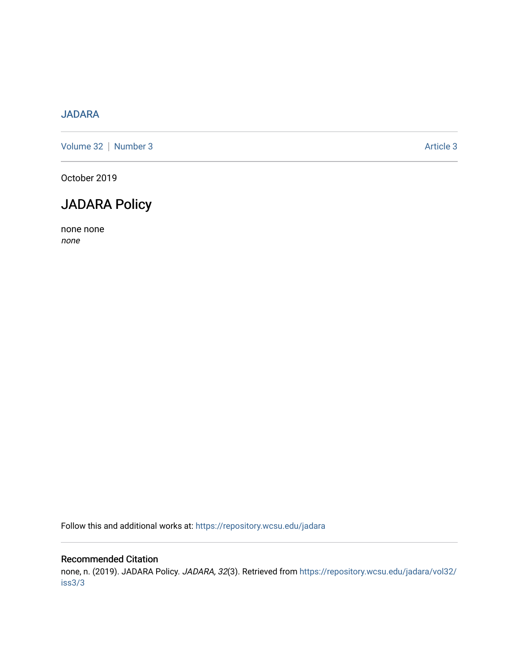## [JADARA](https://repository.wcsu.edu/jadara)

[Volume 32](https://repository.wcsu.edu/jadara/vol32) | [Number 3](https://repository.wcsu.edu/jadara/vol32/iss3) Article 3

October 2019

# JADARA Policy

none none none

Follow this and additional works at: [https://repository.wcsu.edu/jadara](https://repository.wcsu.edu/jadara?utm_source=repository.wcsu.edu%2Fjadara%2Fvol32%2Fiss3%2F3&utm_medium=PDF&utm_campaign=PDFCoverPages)

### Recommended Citation

none, n. (2019). JADARA Policy. JADARA, 32(3). Retrieved from [https://repository.wcsu.edu/jadara/vol32/](https://repository.wcsu.edu/jadara/vol32/iss3/3?utm_source=repository.wcsu.edu%2Fjadara%2Fvol32%2Fiss3%2F3&utm_medium=PDF&utm_campaign=PDFCoverPages) [iss3/3](https://repository.wcsu.edu/jadara/vol32/iss3/3?utm_source=repository.wcsu.edu%2Fjadara%2Fvol32%2Fiss3%2F3&utm_medium=PDF&utm_campaign=PDFCoverPages)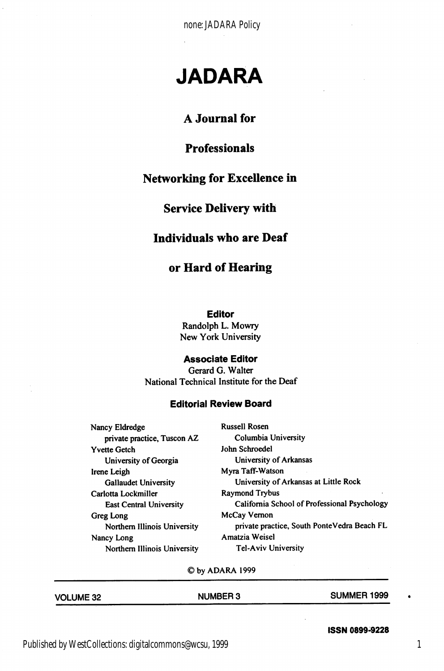# JADARA

## A Journal for

## Professionals

### Networking for Excellence in

## Service Delivery with

## Individuals who are Deaf

#### or Hard of Hearing

#### Editor

Randolph L. Mowry New York University

#### Associate Editor

Gerard G. Walter National Technical Institute for the Deaf

#### Editorial Review Board

| Nancy Eldredge                 | <b>Russell Rosen</b>                         |
|--------------------------------|----------------------------------------------|
| private practice, Tuscon AZ    | Columbia University                          |
| <b>Yvette Getch</b>            | John Schroedel                               |
| University of Georgia          | University of Arkansas                       |
| Irene Leigh                    | Myra Taff-Watson                             |
| <b>Gallaudet University</b>    | University of Arkansas at Little Rock        |
| Carlotta Lockmiller            | <b>Raymond Trybus</b>                        |
| <b>East Central University</b> | California School of Professional Psychology |
| Greg Long                      | McCay Vernon                                 |
| Northern Illinois University   | private practice, South PonteVedra Beach FL  |
| Nancy Long                     | Amatzia Weisel                               |
| Northern Illinois University   | <b>Tel-Aviv University</b>                   |
|                                |                                              |

©byADARA1999

| <b>VOLUME 32</b> | <b>NUMBER 3</b> | SUMMER 1999 |
|------------------|-----------------|-------------|
|                  |                 |             |

#### Published by WestCollections: digitalcommons@wcsu, 1999

#### 1

 $\bullet$ 

ISSN 0899-9228